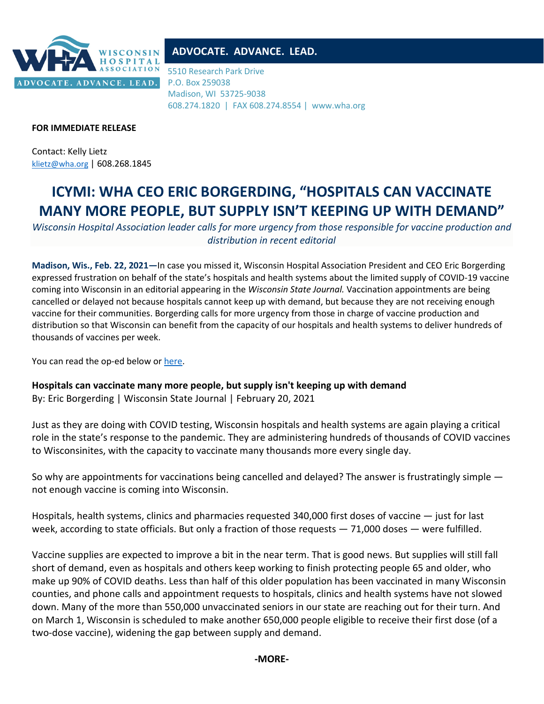

## **ADVOCATE. ADVANCE. LEAD.**

5510 Research Park Drive P.O. Box 259038 Madison, WI 53725-9038 608.274.1820 | FAX 608.274.8554 | www.wha.org

### **FOR IMMEDIATE RELEASE**

Contact: Kelly Lietz [klietz@wha.org](mailto:klietz@wha.org) | 608.268.1845

# **ICYMI: WHA CEO ERIC BORGERDING, "HOSPITALS CAN VACCINATE MANY MORE PEOPLE, BUT SUPPLY ISN'T KEEPING UP WITH DEMAND"**

*Wisconsin Hospital Association leader calls for more urgency from those responsible for vaccine production and distribution in recent editorial*

**Madison, Wis., Feb. 22, 2021—**In case you missed it, Wisconsin Hospital Association President and CEO Eric Borgerding expressed frustration on behalf of the state's hospitals and health systems about the limited supply of COVID-19 vaccine coming into Wisconsin in an editorial appearing in the *Wisconsin State Journal.* Vaccination appointments are being cancelled or delayed not because hospitals cannot keep up with demand, but because they are not receiving enough vaccine for their communities. Borgerding calls for more urgency from those in charge of vaccine production and distribution so that Wisconsin can benefit from the capacity of our hospitals and health systems to deliver hundreds of thousands of vaccines per week.

You can read the op-ed below o[r here.](https://madison.com/wsj/opinion/column/eric-borgerding-hospitals-can-vaccinate-many-more-people-but-supply-isnt-keeping-up-with-demand/article_3d56567d-e1c0-5c80-9a8a-d503a653f9ab.html)

**Hospitals can vaccinate many more people, but supply isn't keeping up with demand** By: Eric Borgerding | Wisconsin State Journal | February 20, 2021

Just as they are doing with COVID testing, Wisconsin hospitals and health systems are again playing a critical role in the state's response to the pandemic. They are administering hundreds of thousands of COVID vaccines to Wisconsinites, with the capacity to vaccinate many thousands more every single day.

So why are appointments for vaccinations being cancelled and delayed? The answer is frustratingly simple not enough vaccine is coming into Wisconsin.

Hospitals, health systems, clinics and pharmacies requested 340,000 first doses of vaccine — just for last week, according to state officials. But only a fraction of those requests — 71,000 doses — were fulfilled.

Vaccine supplies are expected to improve a bit in the near term. That is good news. But supplies will still fall short of demand, even as hospitals and others keep working to finish protecting people 65 and older, who make up 90% of COVID deaths. Less than half of this older population has been vaccinated in many Wisconsin counties, and phone calls and appointment requests to hospitals, clinics and health systems have not slowed down. Many of the more than 550,000 unvaccinated seniors in our state are reaching out for their turn. And on March 1, Wisconsin is scheduled to make another 650,000 people eligible to receive their first dose (of a two-dose vaccine), widening the gap between supply and demand.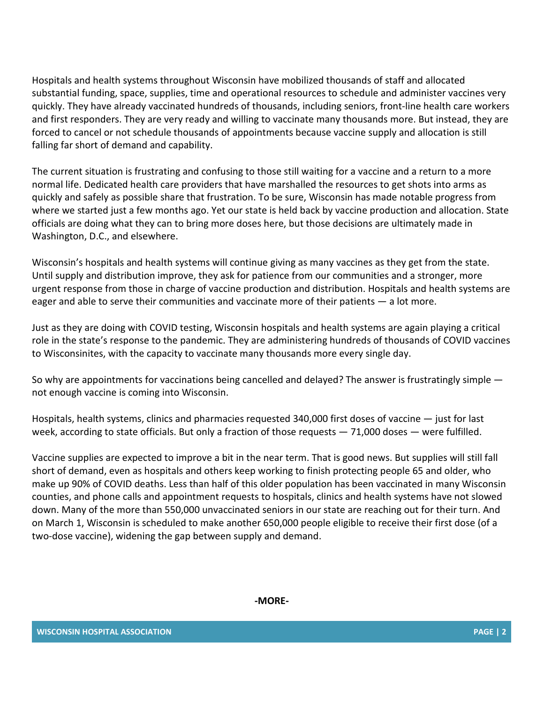Hospitals and health systems throughout Wisconsin have mobilized thousands of staff and allocated substantial funding, space, supplies, time and operational resources to schedule and administer vaccines very quickly. They have already vaccinated hundreds of thousands, including seniors, front-line health care workers and first responders. They are very ready and willing to vaccinate many thousands more. But instead, they are forced to cancel or not schedule thousands of appointments because vaccine supply and allocation is still falling far short of demand and capability.

The current situation is frustrating and confusing to those still waiting for a vaccine and a return to a more normal life. Dedicated health care providers that have marshalled the resources to get shots into arms as quickly and safely as possible share that frustration. To be sure, Wisconsin has made notable progress from where we started just a few months ago. Yet our state is held back by vaccine production and allocation. State officials are doing what they can to bring more doses here, but those decisions are ultimately made in Washington, D.C., and elsewhere.

Wisconsin's hospitals and health systems will continue giving as many vaccines as they get from the state. Until supply and distribution improve, they ask for patience from our communities and a stronger, more urgent response from those in charge of vaccine production and distribution. Hospitals and health systems are eager and able to serve their communities and vaccinate more of their patients — a lot more.

Just as they are doing with COVID testing, Wisconsin hospitals and health systems are again playing a critical role in the state's response to the pandemic. They are administering hundreds of thousands of COVID vaccines to Wisconsinites, with the capacity to vaccinate many thousands more every single day.

So why are appointments for vaccinations being cancelled and delayed? The answer is frustratingly simple not enough vaccine is coming into Wisconsin.

Hospitals, health systems, clinics and pharmacies requested 340,000 first doses of vaccine — just for last week, according to state officials. But only a fraction of those requests  $-71,000$  doses  $-$  were fulfilled.

Vaccine supplies are expected to improve a bit in the near term. That is good news. But supplies will still fall short of demand, even as hospitals and others keep working to finish protecting people 65 and older, who make up 90% of COVID deaths. Less than half of this older population has been vaccinated in many Wisconsin counties, and phone calls and appointment requests to hospitals, clinics and health systems have not slowed down. Many of the more than 550,000 unvaccinated seniors in our state are reaching out for their turn. And on March 1, Wisconsin is scheduled to make another 650,000 people eligible to receive their first dose (of a two-dose vaccine), widening the gap between supply and demand.